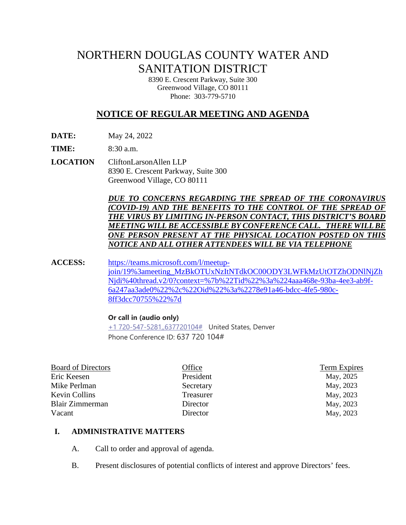# NORTHERN DOUGLAS COUNTY WATER AND SANITATION DISTRICT

8390 E. Crescent Parkway, Suite 300 Greenwood Village, CO 80111 Phone: 303-779-5710

# **NOTICE OF REGULAR MEETING AND AGENDA**

**DATE:** May 24, 2022

**TIME:** 8:30 a.m.

**LOCATION** CliftonLarsonAllen LLP 8390 E. Crescent Parkway, Suite 300 Greenwood Village, CO 80111

> *DUE TO CONCERNS REGARDING THE SPREAD OF THE CORONAVIRUS (COVID-19) AND THE BENEFITS TO THE CONTROL OF THE SPREAD OF THE VIRUS BY LIMITING IN-PERSON CONTACT, THIS DISTRICT'S BOARD MEETING WILL BE ACCESSIBLE BY CONFERENCE CALL. THERE WILLBE ONE PERSON PRESENT AT THE PHYSICAL LOCATION POSTED ON THIS NOTICE AND ALL OTHER ATTENDEES WILL BE VIA TELEPHONE*

**ACCESS:** [https://teams.microsoft.com/l/meetup](https://teams.microsoft.com/l/meetup-join/19%3ameeting_MzBkOTUxNzItNTdkOC00ODY3LWFkMzUtOTZhODNlNjZhNjdi%40thread.v2/0?context=%7b%22Tid%22%3a%224aaa468e-93ba-4ee3-ab9f-6a247aa3ade0%22%2c%22Oid%22%3a%2278e91a46-bdcc-4fe5-980c-8ff3dcc70755%22%7d)[join/19%3ameeting\\_MzBkOTUxNzItNTdkOC00ODY3LWFkMzUtOTZhODNlNjZh](https://teams.microsoft.com/l/meetup-join/19%3ameeting_MzBkOTUxNzItNTdkOC00ODY3LWFkMzUtOTZhODNlNjZhNjdi%40thread.v2/0?context=%7b%22Tid%22%3a%224aaa468e-93ba-4ee3-ab9f-6a247aa3ade0%22%2c%22Oid%22%3a%2278e91a46-bdcc-4fe5-980c-8ff3dcc70755%22%7d) [Njdi%40thread.v2/0?context=%7b%22Tid%22%3a%224aaa468e-93ba-4ee3-ab9f-](https://teams.microsoft.com/l/meetup-join/19%3ameeting_MzBkOTUxNzItNTdkOC00ODY3LWFkMzUtOTZhODNlNjZhNjdi%40thread.v2/0?context=%7b%22Tid%22%3a%224aaa468e-93ba-4ee3-ab9f-6a247aa3ade0%22%2c%22Oid%22%3a%2278e91a46-bdcc-4fe5-980c-8ff3dcc70755%22%7d)[6a247aa3ade0%22%2c%22Oid%22%3a%2278e91a46-bdcc-4fe5-980c-](https://teams.microsoft.com/l/meetup-join/19%3ameeting_MzBkOTUxNzItNTdkOC00ODY3LWFkMzUtOTZhODNlNjZhNjdi%40thread.v2/0?context=%7b%22Tid%22%3a%224aaa468e-93ba-4ee3-ab9f-6a247aa3ade0%22%2c%22Oid%22%3a%2278e91a46-bdcc-4fe5-980c-8ff3dcc70755%22%7d)[8ff3dcc70755%22%7d](https://teams.microsoft.com/l/meetup-join/19%3ameeting_MzBkOTUxNzItNTdkOC00ODY3LWFkMzUtOTZhODNlNjZhNjdi%40thread.v2/0?context=%7b%22Tid%22%3a%224aaa468e-93ba-4ee3-ab9f-6a247aa3ade0%22%2c%22Oid%22%3a%2278e91a46-bdcc-4fe5-980c-8ff3dcc70755%22%7d)

#### **Or call in (audio only)**

[+1 720-547-5281,,637720104#](tel:+17205475281,,637720104#%20) United States, Denver Phone Conference ID: 637 720 104#

| <b>Board of Directors</b> | Office    | <b>Term Expires</b> |
|---------------------------|-----------|---------------------|
| Eric Keesen               | President | May, 2025           |
| Mike Perlman              | Secretary | May, 2023           |
| Kevin Collins             | Treasurer | May, 2023           |
| Blair Zimmerman           | Director  | May, 2023           |
| Vacant                    | Director  | May, 2023           |
|                           |           |                     |

#### **I. ADMINISTRATIVE MATTERS**

- A. Call to order and approval of agenda.
- B. Present disclosures of potential conflicts of interest and approve Directors' fees.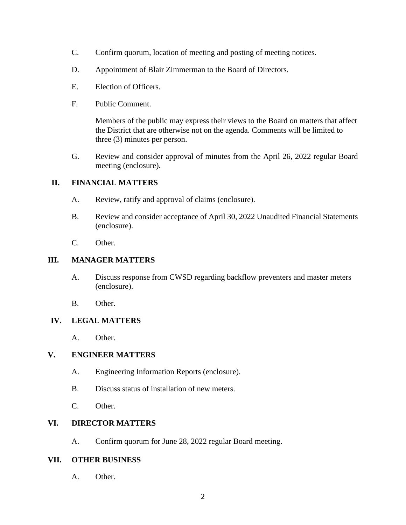- C. Confirm quorum, location of meeting and posting of meeting notices.
- D. Appointment of Blair Zimmerman to the Board of Directors.
- E. Election of Officers.
- F. Public Comment.

Members of the public may express their views to the Board on matters that affect the District that are otherwise not on the agenda. Comments will be limited to three (3) minutes per person.

G. Review and consider approval of minutes from the April 26, 2022 regular Board meeting (enclosure).

# **II. FINANCIAL MATTERS**

- A. Review, ratify and approval of claims (enclosure).
- B. Review and consider acceptance of April 30, 2022 Unaudited Financial Statements (enclosure).
- C. Other.

#### **III. MANAGER MATTERS**

- A. Discuss response from CWSD regarding backflow preventers and master meters (enclosure).
- B. Other.

#### **IV. LEGAL MATTERS**

A. Other.

# **V. ENGINEER MATTERS**

- A. Engineering Information Reports (enclosure).
- B. Discuss status of installation of new meters.
- C. Other.

# **VI. DIRECTOR MATTERS**

A. Confirm quorum for June 28, 2022 regular Board meeting.

#### **VII. OTHER BUSINESS**

A. Other.